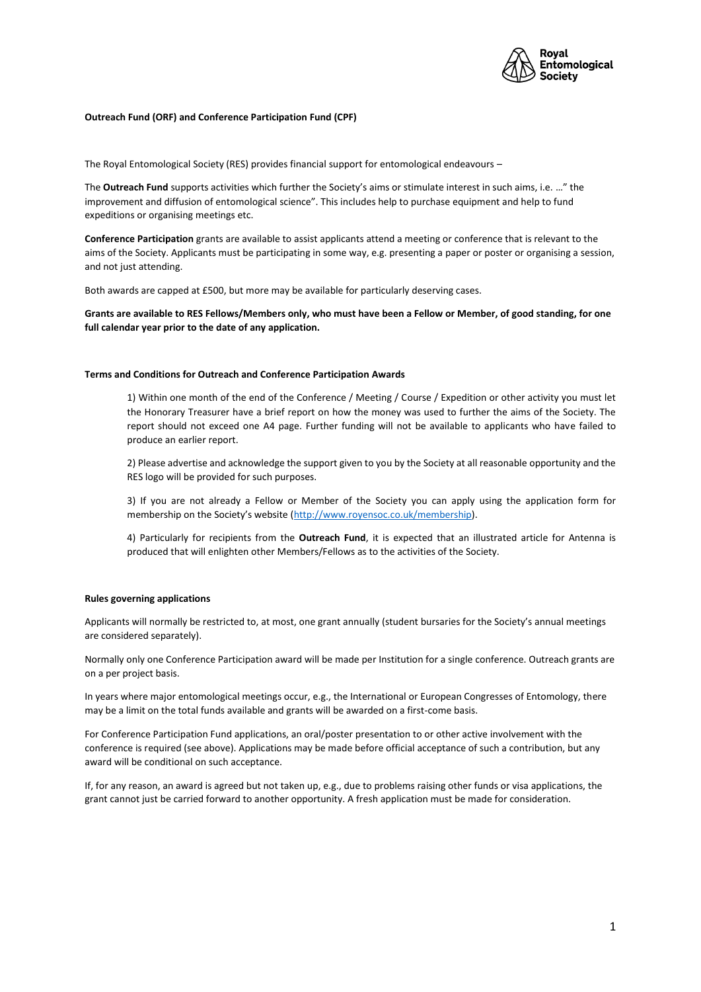

## **Outreach Fund (ORF) and Conference Participation Fund (CPF)**

The Royal Entomological Society (RES) provides financial support for entomological endeavours –

The **Outreach Fund** supports activities which further the Society's aims or stimulate interest in such aims, i.e. …" the improvement and diffusion of entomological science". This includes help to purchase equipment and help to fund expeditions or organising meetings etc.

**Conference Participation** grants are available to assist applicants attend a meeting or conference that is relevant to the aims of the Society. Applicants must be participating in some way, e.g. presenting a paper or poster or organising a session, and not just attending.

Both awards are capped at £500, but more may be available for particularly deserving cases.

**Grants are available to RES Fellows/Members only, who must have been a Fellow or Member, of good standing, for one full calendar year prior to the date of any application.** 

## **Terms and Conditions for Outreach and Conference Participation Awards**

1) Within one month of the end of the Conference / Meeting / Course / Expedition or other activity you must let the Honorary Treasurer have a brief report on how the money was used to further the aims of the Society. The report should not exceed one A4 page. Further funding will not be available to applicants who have failed to produce an earlier report.

2) Please advertise and acknowledge the support given to you by the Society at all reasonable opportunity and the RES logo will be provided for such purposes.

3) If you are not already a Fellow or Member of the Society you can apply using the application form for membership on the Society's website [\(http://www.royensoc.co.uk/membership\)](http://www.royensoc.co.uk/membership).

4) Particularly for recipients from the **Outreach Fund**, it is expected that an illustrated article for Antenna is produced that will enlighten other Members/Fellows as to the activities of the Society.

## **Rules governing applications**

Applicants will normally be restricted to, at most, one grant annually (student bursaries for the Society's annual meetings are considered separately).

Normally only one Conference Participation award will be made per Institution for a single conference. Outreach grants are on a per project basis.

In years where major entomological meetings occur, e.g., the International or European Congresses of Entomology, there may be a limit on the total funds available and grants will be awarded on a first-come basis.

For Conference Participation Fund applications, an oral/poster presentation to or other active involvement with the conference is required (see above). Applications may be made before official acceptance of such a contribution, but any award will be conditional on such acceptance.

If, for any reason, an award is agreed but not taken up, e.g., due to problems raising other funds or visa applications, the grant cannot just be carried forward to another opportunity. A fresh application must be made for consideration.